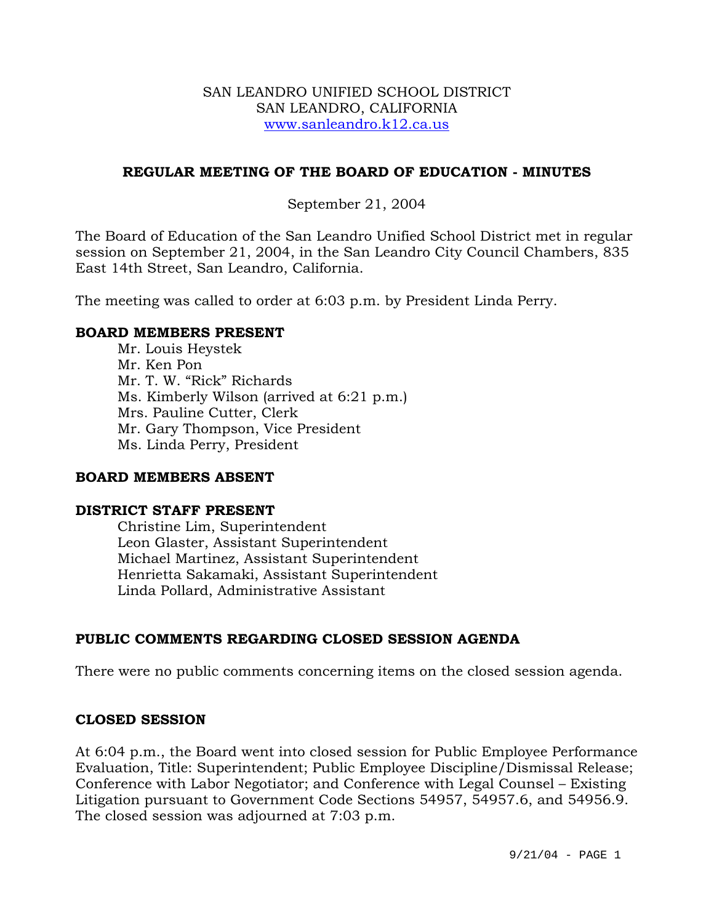### SAN LEANDRO UNIFIED SCHOOL DISTRICT SAN LEANDRO, CALIFORNIA www.sanleandro.k12.ca.us

## **REGULAR MEETING OF THE BOARD OF EDUCATION - MINUTES**

## September 21, 2004

The Board of Education of the San Leandro Unified School District met in regular session on September 21, 2004, in the San Leandro City Council Chambers, 835 East 14th Street, San Leandro, California.

The meeting was called to order at 6:03 p.m. by President Linda Perry.

### **BOARD MEMBERS PRESENT**

Mr. Louis Heystek Mr. Ken Pon Mr. T. W. "Rick" Richards Ms. Kimberly Wilson (arrived at 6:21 p.m.) Mrs. Pauline Cutter, Clerk Mr. Gary Thompson, Vice President Ms. Linda Perry, President

### **BOARD MEMBERS ABSENT**

### **DISTRICT STAFF PRESENT**

Christine Lim, Superintendent Leon Glaster, Assistant Superintendent Michael Martinez, Assistant Superintendent Henrietta Sakamaki, Assistant Superintendent Linda Pollard, Administrative Assistant

# **PUBLIC COMMENTS REGARDING CLOSED SESSION AGENDA**

There were no public comments concerning items on the closed session agenda.

### **CLOSED SESSION**

At 6:04 p.m., the Board went into closed session for Public Employee Performance Evaluation, Title: Superintendent; Public Employee Discipline/Dismissal Release; Conference with Labor Negotiator; and Conference with Legal Counsel – Existing Litigation pursuant to Government Code Sections 54957, 54957.6, and 54956.9. The closed session was adjourned at 7:03 p.m.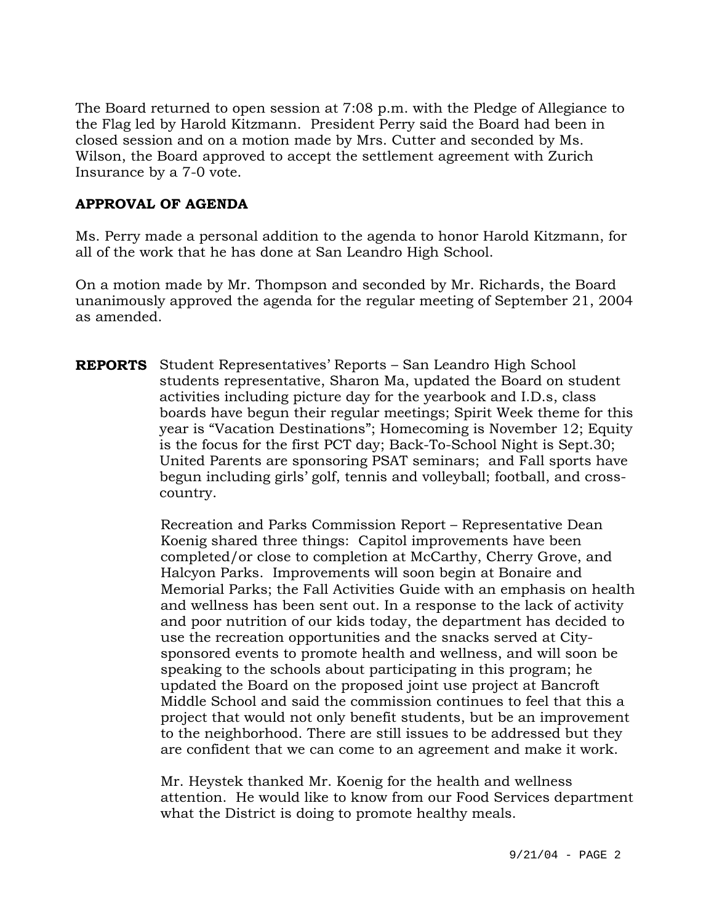The Board returned to open session at 7:08 p.m. with the Pledge of Allegiance to the Flag led by Harold Kitzmann. President Perry said the Board had been in closed session and on a motion made by Mrs. Cutter and seconded by Ms. Wilson, the Board approved to accept the settlement agreement with Zurich Insurance by a 7-0 vote.

# **APPROVAL OF AGENDA**

Ms. Perry made a personal addition to the agenda to honor Harold Kitzmann, for all of the work that he has done at San Leandro High School.

On a motion made by Mr. Thompson and seconded by Mr. Richards, the Board unanimously approved the agenda for the regular meeting of September 21, 2004 as amended.

**REPORTS** Student Representatives' Reports – San Leandro High School students representative, Sharon Ma, updated the Board on student activities including picture day for the yearbook and I.D.s, class boards have begun their regular meetings; Spirit Week theme for this year is "Vacation Destinations"; Homecoming is November 12; Equity is the focus for the first PCT day; Back-To-School Night is Sept.30; United Parents are sponsoring PSAT seminars; and Fall sports have begun including girls' golf, tennis and volleyball; football, and crosscountry.

> Recreation and Parks Commission Report – Representative Dean Koenig shared three things: Capitol improvements have been completed/or close to completion at McCarthy, Cherry Grove, and Halcyon Parks. Improvements will soon begin at Bonaire and Memorial Parks; the Fall Activities Guide with an emphasis on health and wellness has been sent out. In a response to the lack of activity and poor nutrition of our kids today, the department has decided to use the recreation opportunities and the snacks served at Citysponsored events to promote health and wellness, and will soon be speaking to the schools about participating in this program; he updated the Board on the proposed joint use project at Bancroft Middle School and said the commission continues to feel that this a project that would not only benefit students, but be an improvement to the neighborhood. There are still issues to be addressed but they are confident that we can come to an agreement and make it work.

> Mr. Heystek thanked Mr. Koenig for the health and wellness attention. He would like to know from our Food Services department what the District is doing to promote healthy meals.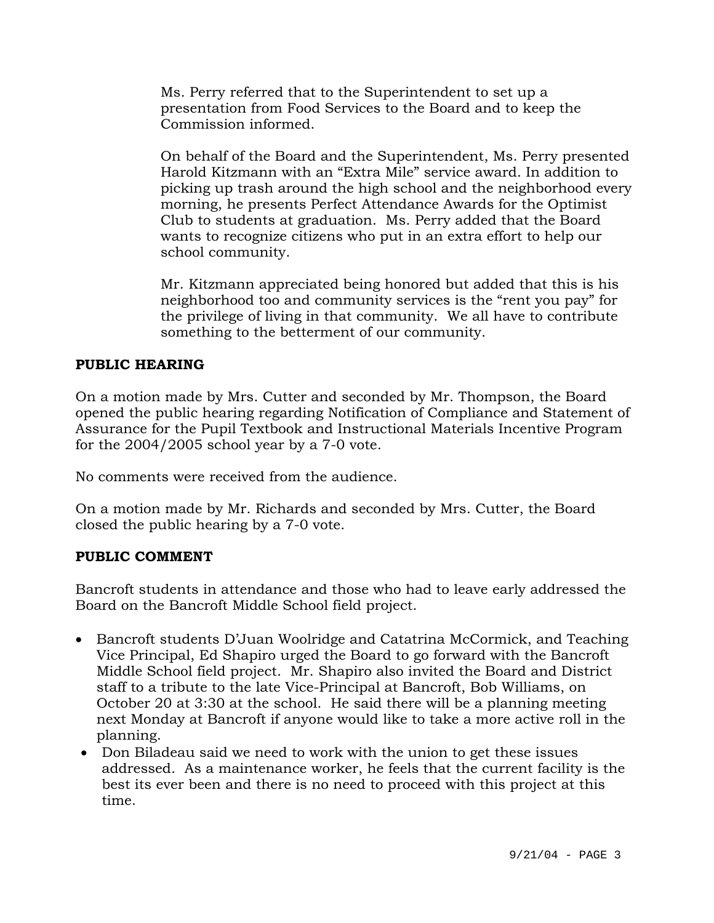Ms. Perry referred that to the Superintendent to set up a presentation from Food Services to the Board and to keep the Commission informed.

On behalf of the Board and the Superintendent, Ms. Perry presented Harold Kitzmann with an "Extra Mile" service award. In addition to picking up trash around the high school and the neighborhood every morning, he presents Perfect Attendance Awards for the Optimist Club to students at graduation. Ms. Perry added that the Board wants to recognize citizens who put in an extra effort to help our school community.

Mr. Kitzmann appreciated being honored but added that this is his neighborhood too and community services is the "rent you pay" for the privilege of living in that community. We all have to contribute something to the betterment of our community.

# **PUBLIC HEARING**

On a motion made by Mrs. Cutter and seconded by Mr. Thompson, the Board opened the public hearing regarding Notification of Compliance and Statement of Assurance for the Pupil Textbook and Instructional Materials Incentive Program for the 2004/2005 school year by a 7-0 vote.

No comments were received from the audience.

On a motion made by Mr. Richards and seconded by Mrs. Cutter, the Board closed the public hearing by a 7-0 vote.

# **PUBLIC COMMENT**

Bancroft students in attendance and those who had to leave early addressed the Board on the Bancroft Middle School field project.

- Bancroft students D'Juan Woolridge and Catatrina McCormick, and Teaching Vice Principal, Ed Shapiro urged the Board to go forward with the Bancroft Middle School field project. Mr. Shapiro also invited the Board and District staff to a tribute to the late Vice-Principal at Bancroft, Bob Williams, on October 20 at 3:30 at the school. He said there will be a planning meeting next Monday at Bancroft if anyone would like to take a more active roll in the planning.
- Don Biladeau said we need to work with the union to get these issues addressed. As a maintenance worker, he feels that the current facility is the best its ever been and there is no need to proceed with this project at this time.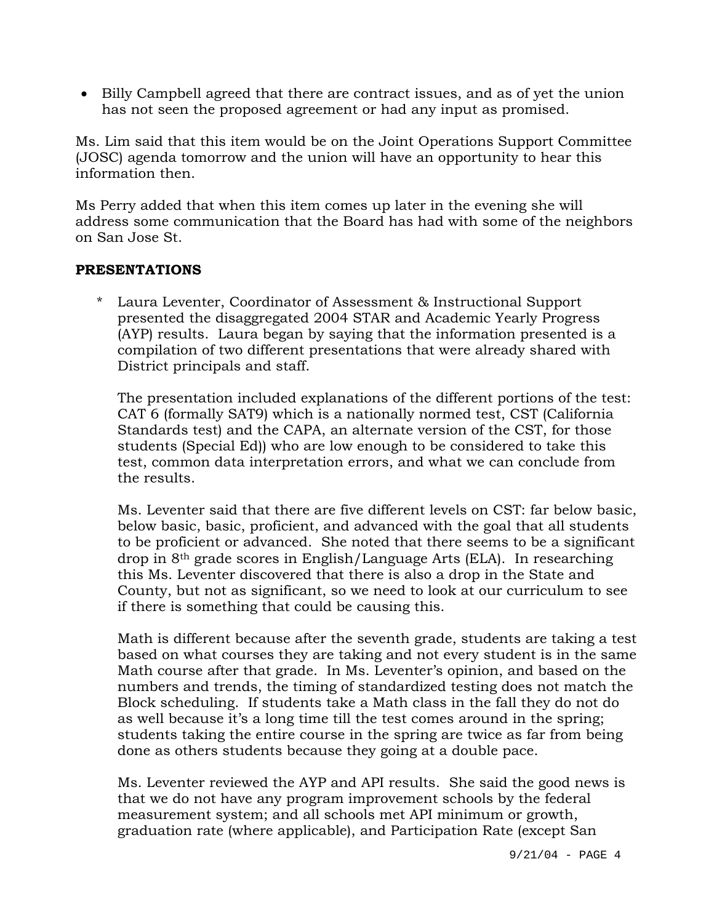• Billy Campbell agreed that there are contract issues, and as of yet the union has not seen the proposed agreement or had any input as promised.

Ms. Lim said that this item would be on the Joint Operations Support Committee (JOSC) agenda tomorrow and the union will have an opportunity to hear this information then.

Ms Perry added that when this item comes up later in the evening she will address some communication that the Board has had with some of the neighbors on San Jose St.

# **PRESENTATIONS**

\* Laura Leventer, Coordinator of Assessment & Instructional Support presented the disaggregated 2004 STAR and Academic Yearly Progress (AYP) results. Laura began by saying that the information presented is a compilation of two different presentations that were already shared with District principals and staff.

The presentation included explanations of the different portions of the test: CAT 6 (formally SAT9) which is a nationally normed test, CST (California Standards test) and the CAPA, an alternate version of the CST, for those students (Special Ed)) who are low enough to be considered to take this test, common data interpretation errors, and what we can conclude from the results.

Ms. Leventer said that there are five different levels on CST: far below basic, below basic, basic, proficient, and advanced with the goal that all students to be proficient or advanced. She noted that there seems to be a significant drop in 8th grade scores in English/Language Arts (ELA). In researching this Ms. Leventer discovered that there is also a drop in the State and County, but not as significant, so we need to look at our curriculum to see if there is something that could be causing this.

Math is different because after the seventh grade, students are taking a test based on what courses they are taking and not every student is in the same Math course after that grade. In Ms. Leventer's opinion, and based on the numbers and trends, the timing of standardized testing does not match the Block scheduling. If students take a Math class in the fall they do not do as well because it's a long time till the test comes around in the spring; students taking the entire course in the spring are twice as far from being done as others students because they going at a double pace.

Ms. Leventer reviewed the AYP and API results. She said the good news is that we do not have any program improvement schools by the federal measurement system; and all schools met API minimum or growth, graduation rate (where applicable), and Participation Rate (except San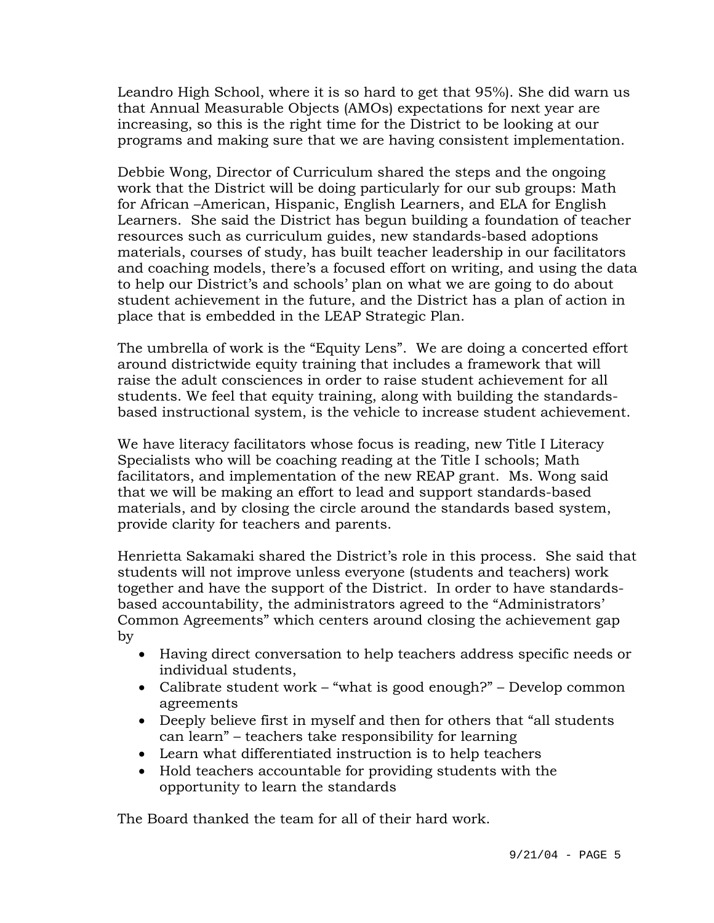Leandro High School, where it is so hard to get that 95%). She did warn us that Annual Measurable Objects (AMOs) expectations for next year are increasing, so this is the right time for the District to be looking at our programs and making sure that we are having consistent implementation.

Debbie Wong, Director of Curriculum shared the steps and the ongoing work that the District will be doing particularly for our sub groups: Math for African –American, Hispanic, English Learners, and ELA for English Learners. She said the District has begun building a foundation of teacher resources such as curriculum guides, new standards-based adoptions materials, courses of study, has built teacher leadership in our facilitators and coaching models, there's a focused effort on writing, and using the data to help our District's and schools' plan on what we are going to do about student achievement in the future, and the District has a plan of action in place that is embedded in the LEAP Strategic Plan.

The umbrella of work is the "Equity Lens". We are doing a concerted effort around districtwide equity training that includes a framework that will raise the adult consciences in order to raise student achievement for all students. We feel that equity training, along with building the standardsbased instructional system, is the vehicle to increase student achievement.

We have literacy facilitators whose focus is reading, new Title I Literacy Specialists who will be coaching reading at the Title I schools; Math facilitators, and implementation of the new REAP grant. Ms. Wong said that we will be making an effort to lead and support standards-based materials, and by closing the circle around the standards based system, provide clarity for teachers and parents.

Henrietta Sakamaki shared the District's role in this process. She said that students will not improve unless everyone (students and teachers) work together and have the support of the District. In order to have standardsbased accountability, the administrators agreed to the "Administrators' Common Agreements" which centers around closing the achievement gap by

- Having direct conversation to help teachers address specific needs or individual students,
- Calibrate student work "what is good enough?" Develop common agreements
- Deeply believe first in myself and then for others that "all students can learn" – teachers take responsibility for learning
- Learn what differentiated instruction is to help teachers
- Hold teachers accountable for providing students with the opportunity to learn the standards

The Board thanked the team for all of their hard work.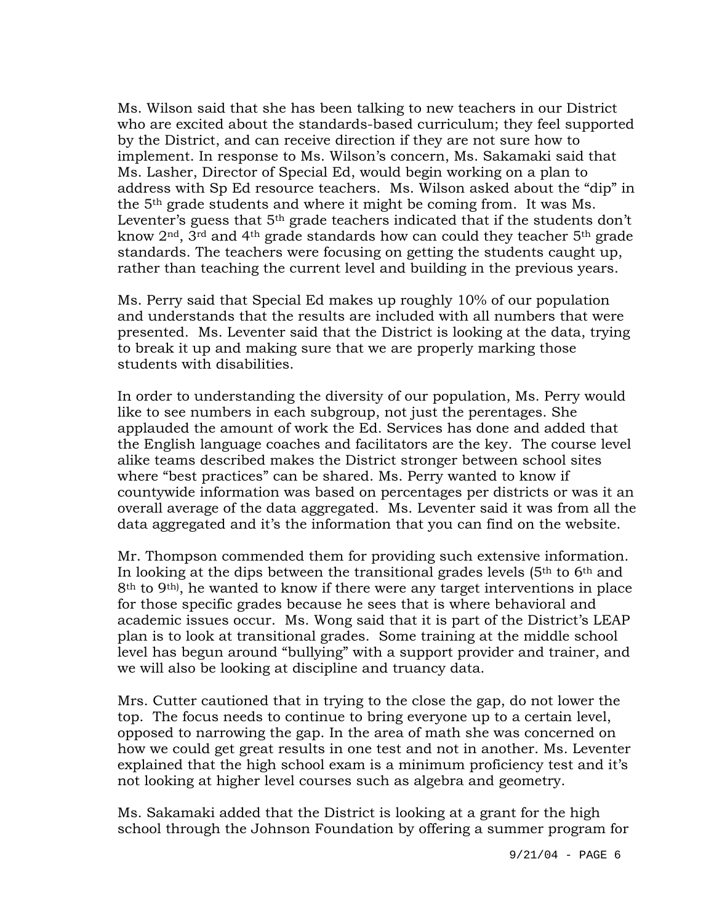Ms. Wilson said that she has been talking to new teachers in our District who are excited about the standards-based curriculum; they feel supported by the District, and can receive direction if they are not sure how to implement. In response to Ms. Wilson's concern, Ms. Sakamaki said that Ms. Lasher, Director of Special Ed, would begin working on a plan to address with Sp Ed resource teachers. Ms. Wilson asked about the "dip" in the 5th grade students and where it might be coming from. It was Ms. Leventer's guess that  $5<sup>th</sup>$  grade teachers indicated that if the students don't know 2nd, 3rd and 4th grade standards how can could they teacher 5th grade standards. The teachers were focusing on getting the students caught up, rather than teaching the current level and building in the previous years.

Ms. Perry said that Special Ed makes up roughly 10% of our population and understands that the results are included with all numbers that were presented. Ms. Leventer said that the District is looking at the data, trying to break it up and making sure that we are properly marking those students with disabilities.

In order to understanding the diversity of our population, Ms. Perry would like to see numbers in each subgroup, not just the perentages. She applauded the amount of work the Ed. Services has done and added that the English language coaches and facilitators are the key. The course level alike teams described makes the District stronger between school sites where "best practices" can be shared. Ms. Perry wanted to know if countywide information was based on percentages per districts or was it an overall average of the data aggregated. Ms. Leventer said it was from all the data aggregated and it's the information that you can find on the website.

Mr. Thompson commended them for providing such extensive information. In looking at the dips between the transitional grades levels  $(5<sup>th</sup>$  to  $6<sup>th</sup>$  and 8th to 9th), he wanted to know if there were any target interventions in place for those specific grades because he sees that is where behavioral and academic issues occur. Ms. Wong said that it is part of the District's LEAP plan is to look at transitional grades. Some training at the middle school level has begun around "bullying" with a support provider and trainer, and we will also be looking at discipline and truancy data.

Mrs. Cutter cautioned that in trying to the close the gap, do not lower the top. The focus needs to continue to bring everyone up to a certain level, opposed to narrowing the gap. In the area of math she was concerned on how we could get great results in one test and not in another. Ms. Leventer explained that the high school exam is a minimum proficiency test and it's not looking at higher level courses such as algebra and geometry.

Ms. Sakamaki added that the District is looking at a grant for the high school through the Johnson Foundation by offering a summer program for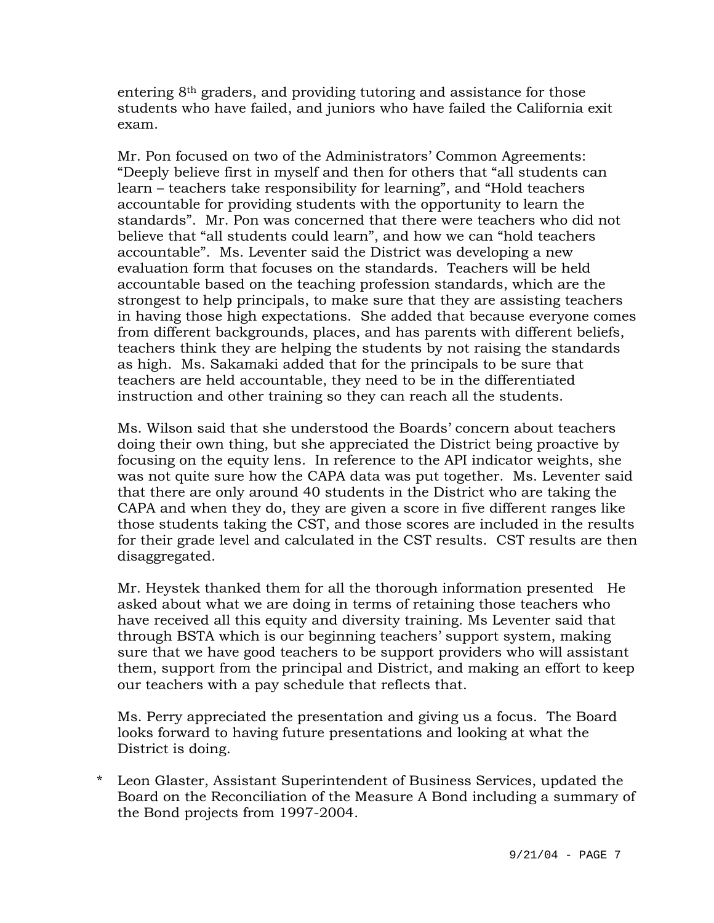entering 8th graders, and providing tutoring and assistance for those students who have failed, and juniors who have failed the California exit exam.

Mr. Pon focused on two of the Administrators' Common Agreements: "Deeply believe first in myself and then for others that "all students can learn – teachers take responsibility for learning", and "Hold teachers accountable for providing students with the opportunity to learn the standards". Mr. Pon was concerned that there were teachers who did not believe that "all students could learn", and how we can "hold teachers accountable". Ms. Leventer said the District was developing a new evaluation form that focuses on the standards. Teachers will be held accountable based on the teaching profession standards, which are the strongest to help principals, to make sure that they are assisting teachers in having those high expectations. She added that because everyone comes from different backgrounds, places, and has parents with different beliefs, teachers think they are helping the students by not raising the standards as high. Ms. Sakamaki added that for the principals to be sure that teachers are held accountable, they need to be in the differentiated instruction and other training so they can reach all the students.

Ms. Wilson said that she understood the Boards' concern about teachers doing their own thing, but she appreciated the District being proactive by focusing on the equity lens. In reference to the API indicator weights, she was not quite sure how the CAPA data was put together. Ms. Leventer said that there are only around 40 students in the District who are taking the CAPA and when they do, they are given a score in five different ranges like those students taking the CST, and those scores are included in the results for their grade level and calculated in the CST results. CST results are then disaggregated.

Mr. Heystek thanked them for all the thorough information presented He asked about what we are doing in terms of retaining those teachers who have received all this equity and diversity training. Ms Leventer said that through BSTA which is our beginning teachers' support system, making sure that we have good teachers to be support providers who will assistant them, support from the principal and District, and making an effort to keep our teachers with a pay schedule that reflects that.

Ms. Perry appreciated the presentation and giving us a focus. The Board looks forward to having future presentations and looking at what the District is doing.

\* Leon Glaster, Assistant Superintendent of Business Services, updated the Board on the Reconciliation of the Measure A Bond including a summary of the Bond projects from 1997-2004.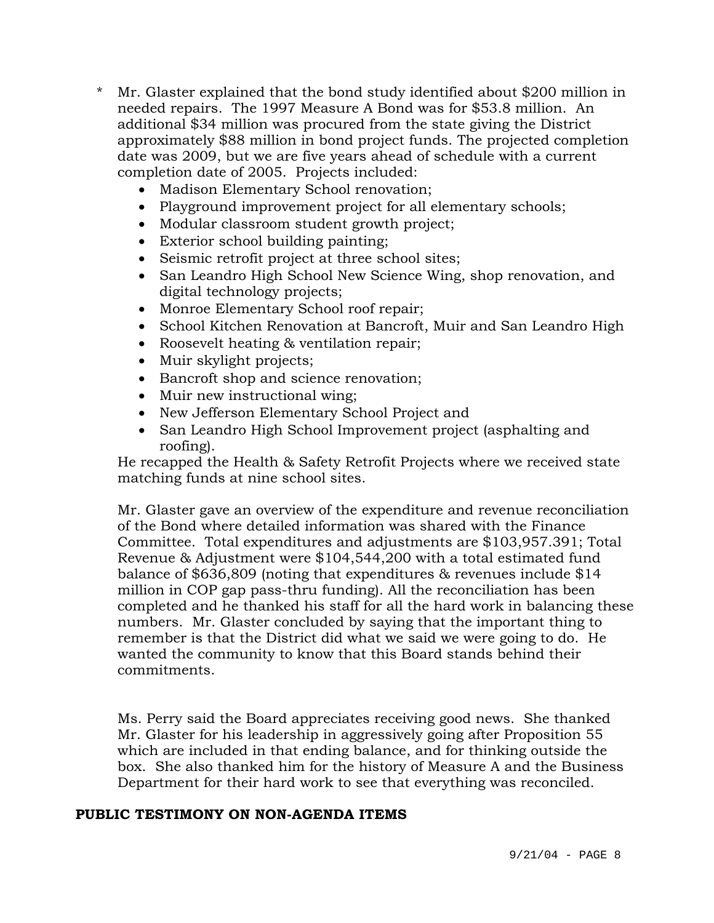- \* Mr. Glaster explained that the bond study identified about \$200 million in needed repairs. The 1997 Measure A Bond was for \$53.8 million. An additional \$34 million was procured from the state giving the District approximately \$88 million in bond project funds. The projected completion date was 2009, but we are five years ahead of schedule with a current completion date of 2005. Projects included:
	- Madison Elementary School renovation;
	- Playground improvement project for all elementary schools;
	- Modular classroom student growth project;
	- Exterior school building painting;
	- Seismic retrofit project at three school sites;
	- San Leandro High School New Science Wing, shop renovation, and digital technology projects;
	- Monroe Elementary School roof repair;
	- School Kitchen Renovation at Bancroft, Muir and San Leandro High
	- Roosevelt heating & ventilation repair;
	- Muir skylight projects;
	- Bancroft shop and science renovation;
	- Muir new instructional wing;
	- New Jefferson Elementary School Project and
	- San Leandro High School Improvement project (asphalting and roofing).

He recapped the Health & Safety Retrofit Projects where we received state matching funds at nine school sites.

Mr. Glaster gave an overview of the expenditure and revenue reconciliation of the Bond where detailed information was shared with the Finance Committee. Total expenditures and adjustments are \$103,957.391; Total Revenue & Adjustment were \$104,544,200 with a total estimated fund balance of \$636,809 (noting that expenditures & revenues include \$14 million in COP gap pass-thru funding). All the reconciliation has been completed and he thanked his staff for all the hard work in balancing these numbers. Mr. Glaster concluded by saying that the important thing to remember is that the District did what we said we were going to do. He wanted the community to know that this Board stands behind their commitments.

Ms. Perry said the Board appreciates receiving good news. She thanked Mr. Glaster for his leadership in aggressively going after Proposition 55 which are included in that ending balance, and for thinking outside the box. She also thanked him for the history of Measure A and the Business Department for their hard work to see that everything was reconciled.

# **PUBLIC TESTIMONY ON NON-AGENDA ITEMS**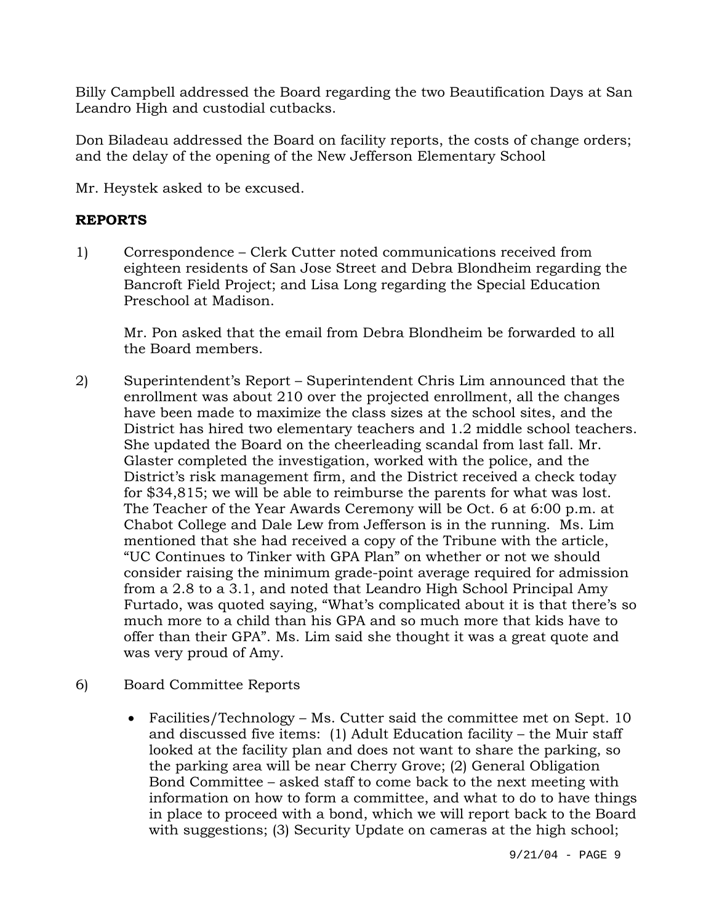Billy Campbell addressed the Board regarding the two Beautification Days at San Leandro High and custodial cutbacks.

Don Biladeau addressed the Board on facility reports, the costs of change orders; and the delay of the opening of the New Jefferson Elementary School

Mr. Heystek asked to be excused.

# **REPORTS**

1) Correspondence – Clerk Cutter noted communications received from eighteen residents of San Jose Street and Debra Blondheim regarding the Bancroft Field Project; and Lisa Long regarding the Special Education Preschool at Madison.

Mr. Pon asked that the email from Debra Blondheim be forwarded to all the Board members.

2) Superintendent's Report – Superintendent Chris Lim announced that the enrollment was about 210 over the projected enrollment, all the changes have been made to maximize the class sizes at the school sites, and the District has hired two elementary teachers and 1.2 middle school teachers. She updated the Board on the cheerleading scandal from last fall. Mr. Glaster completed the investigation, worked with the police, and the District's risk management firm, and the District received a check today for \$34,815; we will be able to reimburse the parents for what was lost. The Teacher of the Year Awards Ceremony will be Oct. 6 at 6:00 p.m. at Chabot College and Dale Lew from Jefferson is in the running. Ms. Lim mentioned that she had received a copy of the Tribune with the article, "UC Continues to Tinker with GPA Plan" on whether or not we should consider raising the minimum grade-point average required for admission from a 2.8 to a 3.1, and noted that Leandro High School Principal Amy Furtado, was quoted saying, "What's complicated about it is that there's so much more to a child than his GPA and so much more that kids have to offer than their GPA". Ms. Lim said she thought it was a great quote and was very proud of Amy.

# 6) Board Committee Reports

• Facilities/Technology – Ms. Cutter said the committee met on Sept. 10 and discussed five items: (1) Adult Education facility – the Muir staff looked at the facility plan and does not want to share the parking, so the parking area will be near Cherry Grove; (2) General Obligation Bond Committee – asked staff to come back to the next meeting with information on how to form a committee, and what to do to have things in place to proceed with a bond, which we will report back to the Board with suggestions; (3) Security Update on cameras at the high school;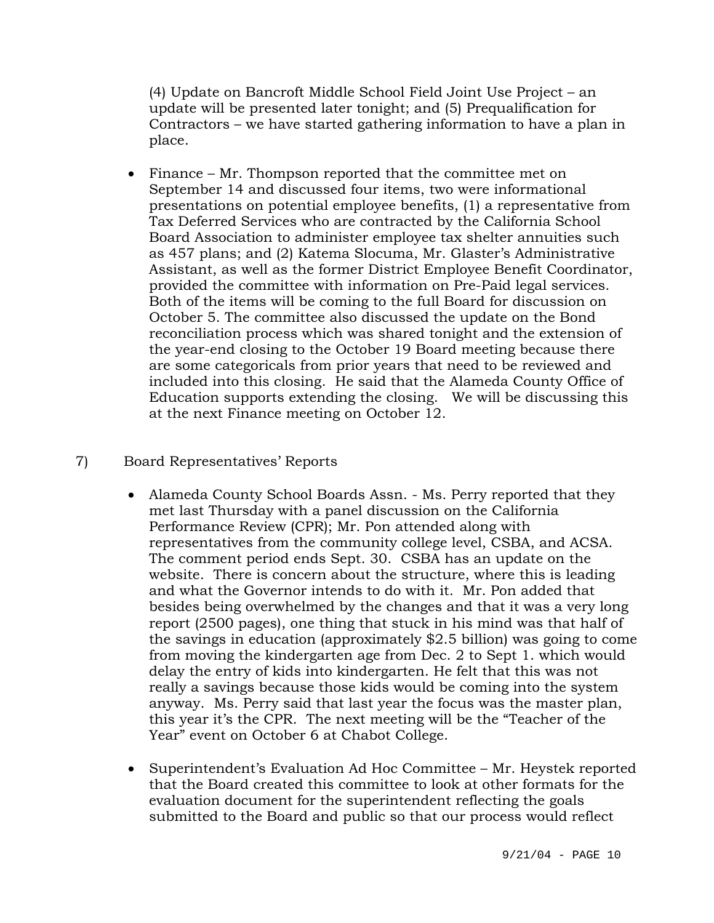(4) Update on Bancroft Middle School Field Joint Use Project – an update will be presented later tonight; and (5) Prequalification for Contractors – we have started gathering information to have a plan in place.

• Finance – Mr. Thompson reported that the committee met on September 14 and discussed four items, two were informational presentations on potential employee benefits, (1) a representative from Tax Deferred Services who are contracted by the California School Board Association to administer employee tax shelter annuities such as 457 plans; and (2) Katema Slocuma, Mr. Glaster's Administrative Assistant, as well as the former District Employee Benefit Coordinator, provided the committee with information on Pre-Paid legal services. Both of the items will be coming to the full Board for discussion on October 5. The committee also discussed the update on the Bond reconciliation process which was shared tonight and the extension of the year-end closing to the October 19 Board meeting because there are some categoricals from prior years that need to be reviewed and included into this closing. He said that the Alameda County Office of Education supports extending the closing. We will be discussing this at the next Finance meeting on October 12.

# 7) Board Representatives' Reports

- Alameda County School Boards Assn. Ms. Perry reported that they met last Thursday with a panel discussion on the California Performance Review (CPR); Mr. Pon attended along with representatives from the community college level, CSBA, and ACSA. The comment period ends Sept. 30. CSBA has an update on the website. There is concern about the structure, where this is leading and what the Governor intends to do with it. Mr. Pon added that besides being overwhelmed by the changes and that it was a very long report (2500 pages), one thing that stuck in his mind was that half of the savings in education (approximately \$2.5 billion) was going to come from moving the kindergarten age from Dec. 2 to Sept 1. which would delay the entry of kids into kindergarten. He felt that this was not really a savings because those kids would be coming into the system anyway. Ms. Perry said that last year the focus was the master plan, this year it's the CPR. The next meeting will be the "Teacher of the Year" event on October 6 at Chabot College.
- Superintendent's Evaluation Ad Hoc Committee Mr. Heystek reported that the Board created this committee to look at other formats for the evaluation document for the superintendent reflecting the goals submitted to the Board and public so that our process would reflect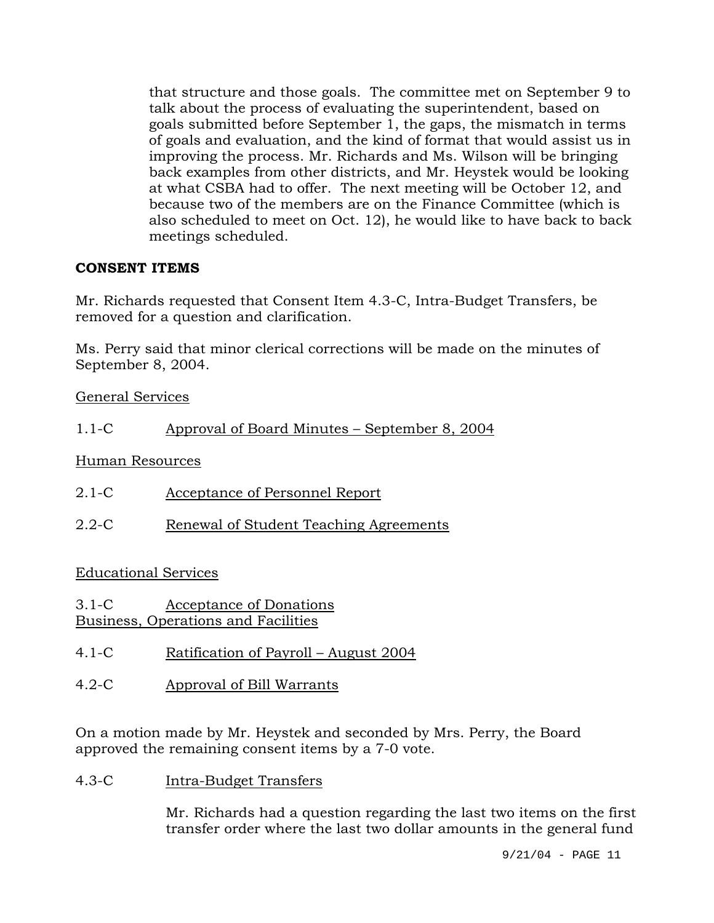that structure and those goals. The committee met on September 9 to talk about the process of evaluating the superintendent, based on goals submitted before September 1, the gaps, the mismatch in terms of goals and evaluation, and the kind of format that would assist us in improving the process. Mr. Richards and Ms. Wilson will be bringing back examples from other districts, and Mr. Heystek would be looking at what CSBA had to offer. The next meeting will be October 12, and because two of the members are on the Finance Committee (which is also scheduled to meet on Oct. 12), he would like to have back to back meetings scheduled.

# **CONSENT ITEMS**

Mr. Richards requested that Consent Item 4.3-C, Intra-Budget Transfers, be removed for a question and clarification.

Ms. Perry said that minor clerical corrections will be made on the minutes of September 8, 2004.

General Services

# 1.1-C Approval of Board Minutes – September 8, 2004

Human Resources

| $2.1-C$ | Acceptance of Personnel Report |
|---------|--------------------------------|
|---------|--------------------------------|

2.2-C Renewal of Student Teaching Agreements

# Educational Services

3.1-C Acceptance of Donations Business, Operations and Facilities

- 4.1-C Ratification of Payroll August 2004
- 4.2-C Approval of Bill Warrants

On a motion made by Mr. Heystek and seconded by Mrs. Perry, the Board approved the remaining consent items by a 7-0 vote.

4.3-C Intra-Budget Transfers

Mr. Richards had a question regarding the last two items on the first transfer order where the last two dollar amounts in the general fund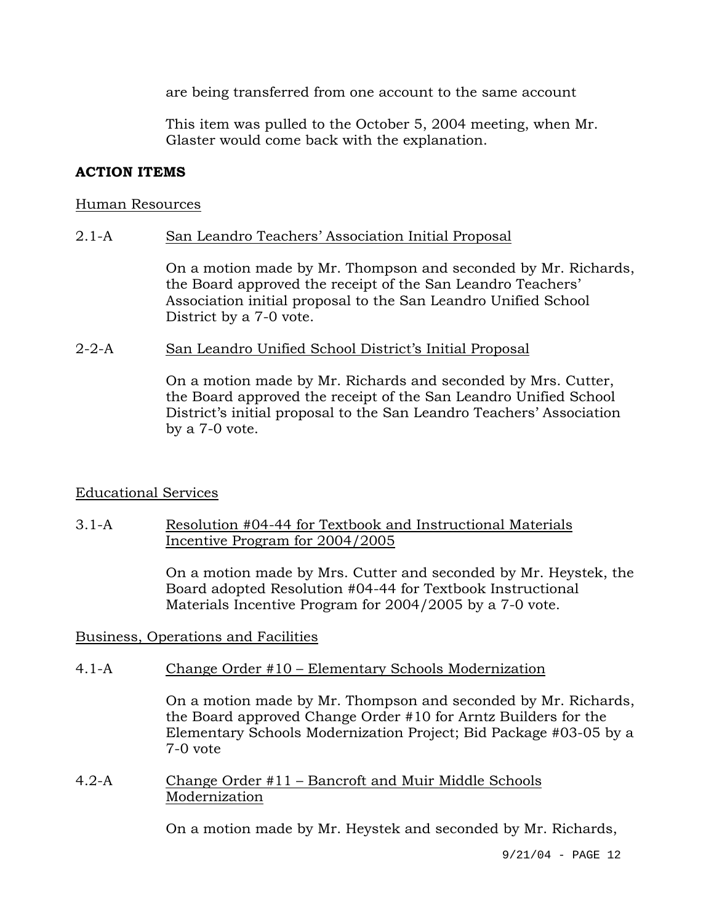are being transferred from one account to the same account

This item was pulled to the October 5, 2004 meeting, when Mr. Glaster would come back with the explanation.

# **ACTION ITEMS**

### Human Resources

# 2.1-A San Leandro Teachers' Association Initial Proposal

On a motion made by Mr. Thompson and seconded by Mr. Richards, the Board approved the receipt of the San Leandro Teachers' Association initial proposal to the San Leandro Unified School District by a 7-0 vote.

## 2-2-A San Leandro Unified School District's Initial Proposal

On a motion made by Mr. Richards and seconded by Mrs. Cutter, the Board approved the receipt of the San Leandro Unified School District's initial proposal to the San Leandro Teachers' Association by a 7-0 vote.

# Educational Services

## 3.1-A Resolution #04-44 for Textbook and Instructional Materials Incentive Program for 2004/2005

On a motion made by Mrs. Cutter and seconded by Mr. Heystek, the Board adopted Resolution #04-44 for Textbook Instructional Materials Incentive Program for 2004/2005 by a 7-0 vote.

Business, Operations and Facilities

# 4.1-A Change Order #10 – Elementary Schools Modernization

On a motion made by Mr. Thompson and seconded by Mr. Richards, the Board approved Change Order #10 for Arntz Builders for the Elementary Schools Modernization Project; Bid Package #03-05 by a 7-0 vote

4.2-A Change Order #11 – Bancroft and Muir Middle Schools Modernization

On a motion made by Mr. Heystek and seconded by Mr. Richards,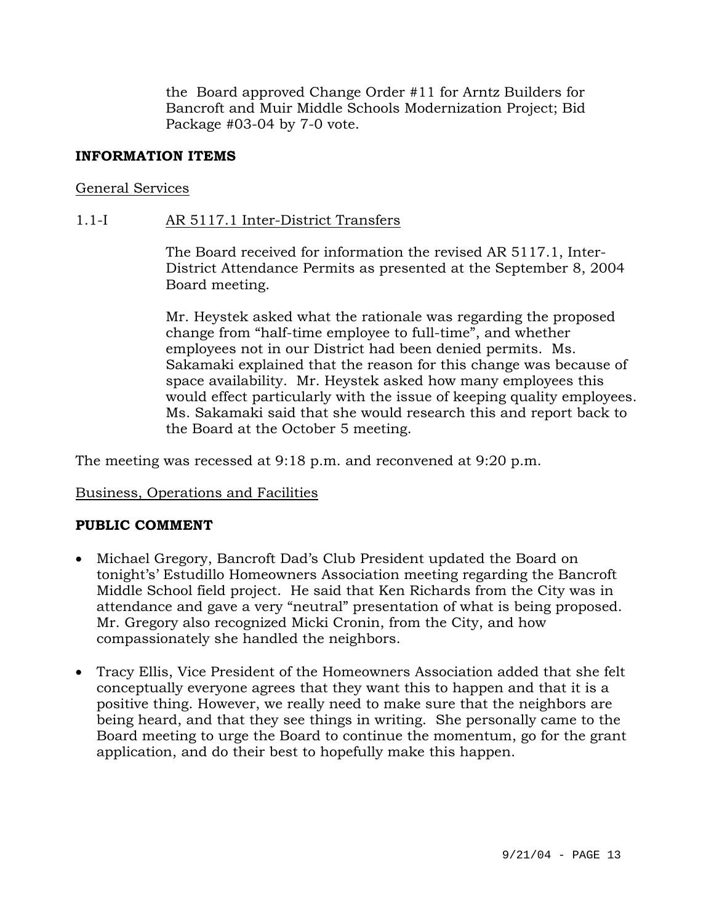the Board approved Change Order #11 for Arntz Builders for Bancroft and Muir Middle Schools Modernization Project; Bid Package #03-04 by 7-0 vote.

## **INFORMATION ITEMS**

## General Services

## 1.1-I AR 5117.1 Inter-District Transfers

The Board received for information the revised AR 5117.1, Inter-District Attendance Permits as presented at the September 8, 2004 Board meeting.

Mr. Heystek asked what the rationale was regarding the proposed change from "half-time employee to full-time", and whether employees not in our District had been denied permits. Ms. Sakamaki explained that the reason for this change was because of space availability. Mr. Heystek asked how many employees this would effect particularly with the issue of keeping quality employees. Ms. Sakamaki said that she would research this and report back to the Board at the October 5 meeting.

The meeting was recessed at 9:18 p.m. and reconvened at 9:20 p.m.

### Business, Operations and Facilities

# **PUBLIC COMMENT**

- Michael Gregory, Bancroft Dad's Club President updated the Board on tonight's' Estudillo Homeowners Association meeting regarding the Bancroft Middle School field project. He said that Ken Richards from the City was in attendance and gave a very "neutral" presentation of what is being proposed. Mr. Gregory also recognized Micki Cronin, from the City, and how compassionately she handled the neighbors.
- Tracy Ellis, Vice President of the Homeowners Association added that she felt conceptually everyone agrees that they want this to happen and that it is a positive thing. However, we really need to make sure that the neighbors are being heard, and that they see things in writing. She personally came to the Board meeting to urge the Board to continue the momentum, go for the grant application, and do their best to hopefully make this happen.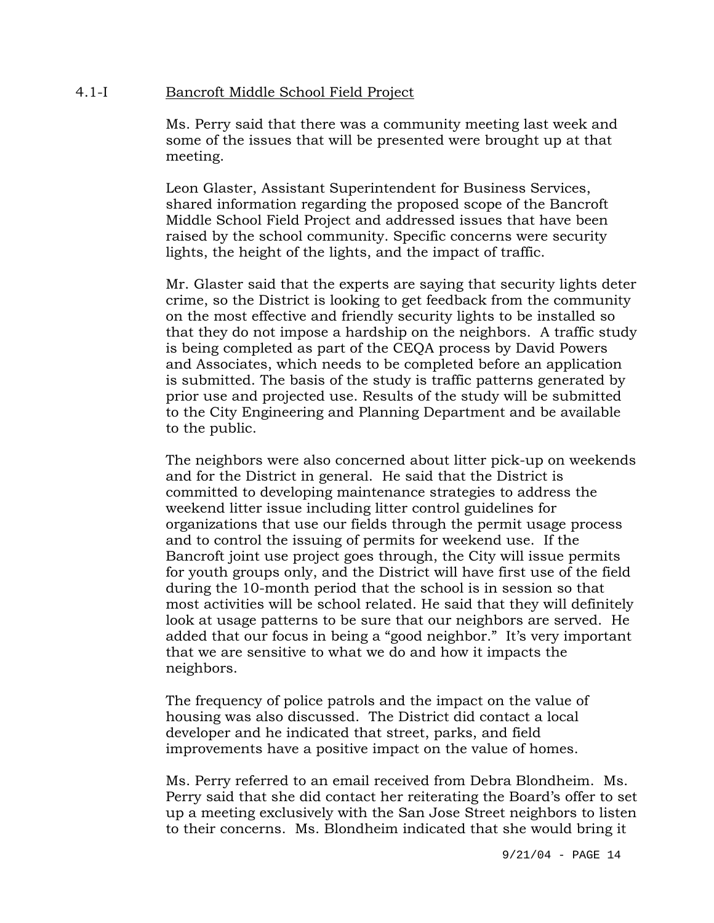### 4.1-I Bancroft Middle School Field Project

Ms. Perry said that there was a community meeting last week and some of the issues that will be presented were brought up at that meeting.

Leon Glaster, Assistant Superintendent for Business Services, shared information regarding the proposed scope of the Bancroft Middle School Field Project and addressed issues that have been raised by the school community. Specific concerns were security lights, the height of the lights, and the impact of traffic.

Mr. Glaster said that the experts are saying that security lights deter crime, so the District is looking to get feedback from the community on the most effective and friendly security lights to be installed so that they do not impose a hardship on the neighbors. A traffic study is being completed as part of the CEQA process by David Powers and Associates, which needs to be completed before an application is submitted. The basis of the study is traffic patterns generated by prior use and projected use. Results of the study will be submitted to the City Engineering and Planning Department and be available to the public.

The neighbors were also concerned about litter pick-up on weekends and for the District in general. He said that the District is committed to developing maintenance strategies to address the weekend litter issue including litter control guidelines for organizations that use our fields through the permit usage process and to control the issuing of permits for weekend use. If the Bancroft joint use project goes through, the City will issue permits for youth groups only, and the District will have first use of the field during the 10-month period that the school is in session so that most activities will be school related. He said that they will definitely look at usage patterns to be sure that our neighbors are served. He added that our focus in being a "good neighbor." It's very important that we are sensitive to what we do and how it impacts the neighbors.

The frequency of police patrols and the impact on the value of housing was also discussed. The District did contact a local developer and he indicated that street, parks, and field improvements have a positive impact on the value of homes.

Ms. Perry referred to an email received from Debra Blondheim. Ms. Perry said that she did contact her reiterating the Board's offer to set up a meeting exclusively with the San Jose Street neighbors to listen to their concerns. Ms. Blondheim indicated that she would bring it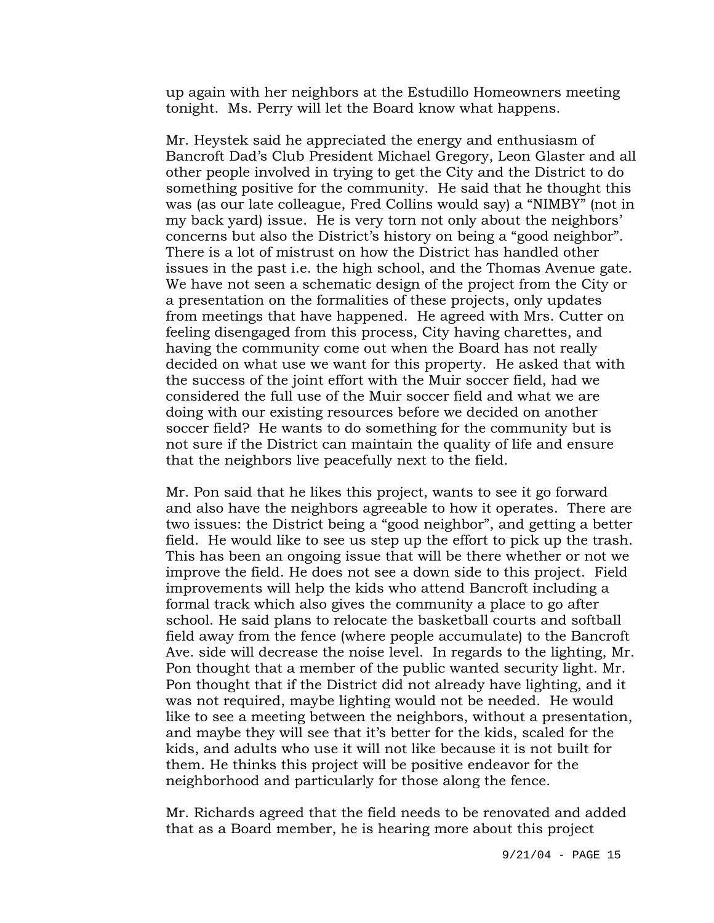up again with her neighbors at the Estudillo Homeowners meeting tonight. Ms. Perry will let the Board know what happens.

Mr. Heystek said he appreciated the energy and enthusiasm of Bancroft Dad's Club President Michael Gregory, Leon Glaster and all other people involved in trying to get the City and the District to do something positive for the community. He said that he thought this was (as our late colleague, Fred Collins would say) a "NIMBY" (not in my back yard) issue. He is very torn not only about the neighbors' concerns but also the District's history on being a "good neighbor". There is a lot of mistrust on how the District has handled other issues in the past i.e. the high school, and the Thomas Avenue gate. We have not seen a schematic design of the project from the City or a presentation on the formalities of these projects, only updates from meetings that have happened. He agreed with Mrs. Cutter on feeling disengaged from this process, City having charettes, and having the community come out when the Board has not really decided on what use we want for this property. He asked that with the success of the joint effort with the Muir soccer field, had we considered the full use of the Muir soccer field and what we are doing with our existing resources before we decided on another soccer field? He wants to do something for the community but is not sure if the District can maintain the quality of life and ensure that the neighbors live peacefully next to the field.

Mr. Pon said that he likes this project, wants to see it go forward and also have the neighbors agreeable to how it operates. There are two issues: the District being a "good neighbor", and getting a better field. He would like to see us step up the effort to pick up the trash. This has been an ongoing issue that will be there whether or not we improve the field. He does not see a down side to this project. Field improvements will help the kids who attend Bancroft including a formal track which also gives the community a place to go after school. He said plans to relocate the basketball courts and softball field away from the fence (where people accumulate) to the Bancroft Ave. side will decrease the noise level. In regards to the lighting, Mr. Pon thought that a member of the public wanted security light. Mr. Pon thought that if the District did not already have lighting, and it was not required, maybe lighting would not be needed. He would like to see a meeting between the neighbors, without a presentation, and maybe they will see that it's better for the kids, scaled for the kids, and adults who use it will not like because it is not built for them. He thinks this project will be positive endeavor for the neighborhood and particularly for those along the fence.

Mr. Richards agreed that the field needs to be renovated and added that as a Board member, he is hearing more about this project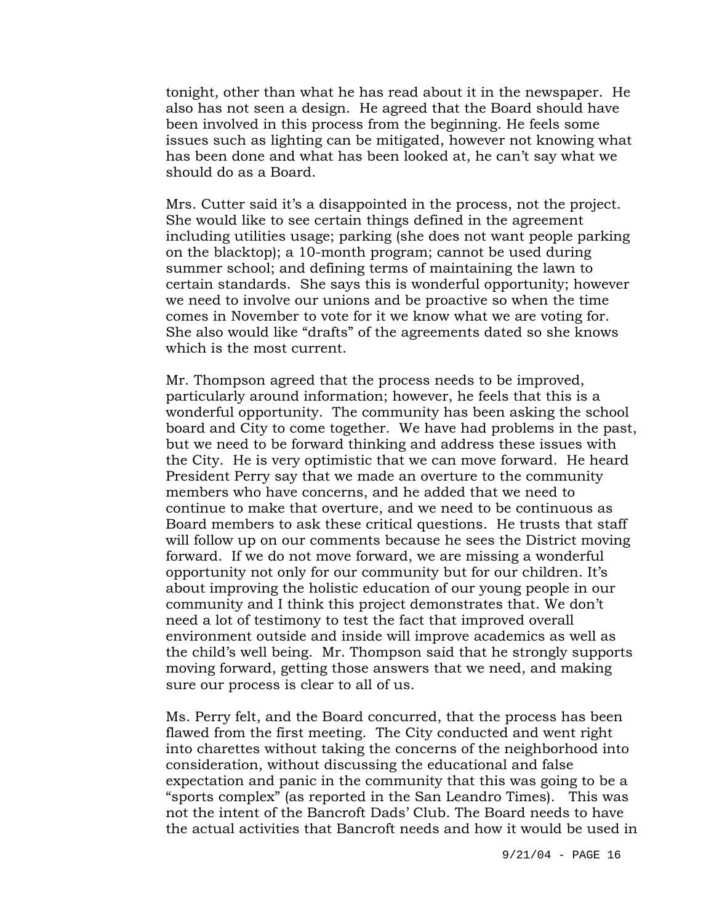tonight, other than what he has read about it in the newspaper. He also has not seen a design. He agreed that the Board should have been involved in this process from the beginning. He feels some issues such as lighting can be mitigated, however not knowing what has been done and what has been looked at, he can't say what we should do as a Board.

Mrs. Cutter said it's a disappointed in the process, not the project. She would like to see certain things defined in the agreement including utilities usage; parking (she does not want people parking on the blacktop); a 10-month program; cannot be used during summer school; and defining terms of maintaining the lawn to certain standards. She says this is wonderful opportunity; however we need to involve our unions and be proactive so when the time comes in November to vote for it we know what we are voting for. She also would like "drafts" of the agreements dated so she knows which is the most current.

Mr. Thompson agreed that the process needs to be improved, particularly around information; however, he feels that this is a wonderful opportunity. The community has been asking the school board and City to come together. We have had problems in the past, but we need to be forward thinking and address these issues with the City. He is very optimistic that we can move forward. He heard President Perry say that we made an overture to the community members who have concerns, and he added that we need to continue to make that overture, and we need to be continuous as Board members to ask these critical questions. He trusts that staff will follow up on our comments because he sees the District moving forward. If we do not move forward, we are missing a wonderful opportunity not only for our community but for our children. It's about improving the holistic education of our young people in our community and I think this project demonstrates that. We don't need a lot of testimony to test the fact that improved overall environment outside and inside will improve academics as well as the child's well being. Mr. Thompson said that he strongly supports moving forward, getting those answers that we need, and making sure our process is clear to all of us.

Ms. Perry felt, and the Board concurred, that the process has been flawed from the first meeting. The City conducted and went right into charettes without taking the concerns of the neighborhood into consideration, without discussing the educational and false expectation and panic in the community that this was going to be a "sports complex" (as reported in the San Leandro Times). This was not the intent of the Bancroft Dads' Club. The Board needs to have the actual activities that Bancroft needs and how it would be used in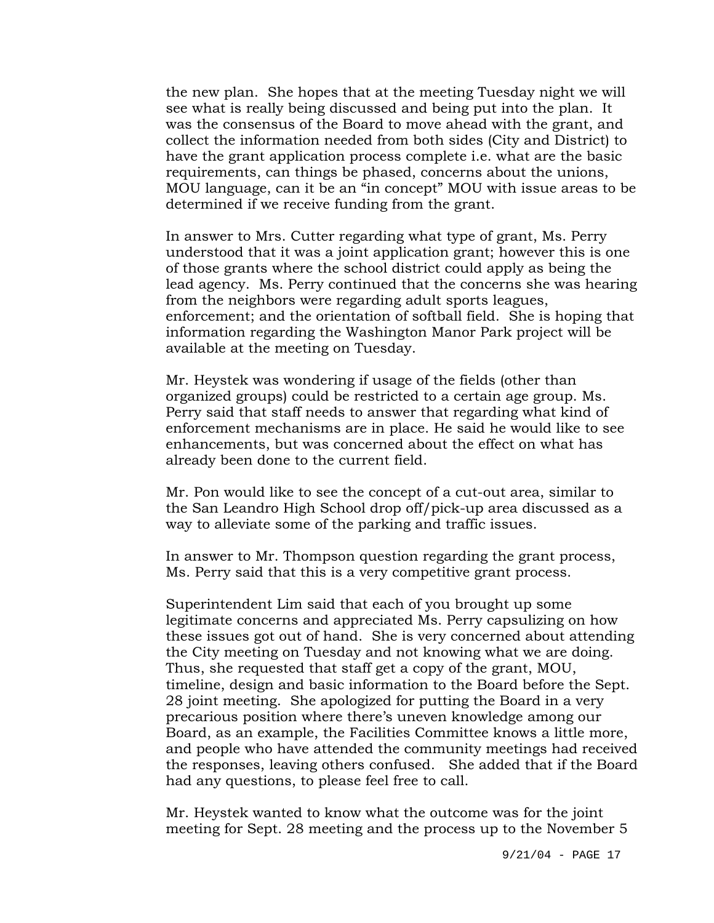the new plan. She hopes that at the meeting Tuesday night we will see what is really being discussed and being put into the plan. It was the consensus of the Board to move ahead with the grant, and collect the information needed from both sides (City and District) to have the grant application process complete i.e. what are the basic requirements, can things be phased, concerns about the unions, MOU language, can it be an "in concept" MOU with issue areas to be determined if we receive funding from the grant.

In answer to Mrs. Cutter regarding what type of grant, Ms. Perry understood that it was a joint application grant; however this is one of those grants where the school district could apply as being the lead agency. Ms. Perry continued that the concerns she was hearing from the neighbors were regarding adult sports leagues, enforcement; and the orientation of softball field. She is hoping that information regarding the Washington Manor Park project will be available at the meeting on Tuesday.

Mr. Heystek was wondering if usage of the fields (other than organized groups) could be restricted to a certain age group. Ms. Perry said that staff needs to answer that regarding what kind of enforcement mechanisms are in place. He said he would like to see enhancements, but was concerned about the effect on what has already been done to the current field.

Mr. Pon would like to see the concept of a cut-out area, similar to the San Leandro High School drop off/pick-up area discussed as a way to alleviate some of the parking and traffic issues.

In answer to Mr. Thompson question regarding the grant process, Ms. Perry said that this is a very competitive grant process.

Superintendent Lim said that each of you brought up some legitimate concerns and appreciated Ms. Perry capsulizing on how these issues got out of hand. She is very concerned about attending the City meeting on Tuesday and not knowing what we are doing. Thus, she requested that staff get a copy of the grant, MOU, timeline, design and basic information to the Board before the Sept. 28 joint meeting. She apologized for putting the Board in a very precarious position where there's uneven knowledge among our Board, as an example, the Facilities Committee knows a little more, and people who have attended the community meetings had received the responses, leaving others confused. She added that if the Board had any questions, to please feel free to call.

Mr. Heystek wanted to know what the outcome was for the joint meeting for Sept. 28 meeting and the process up to the November 5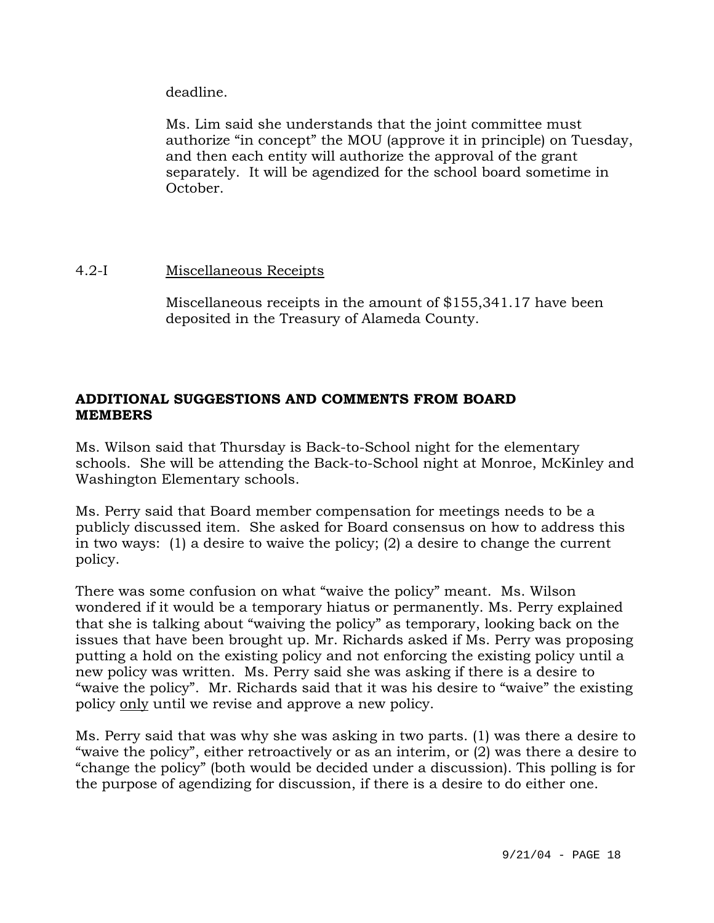deadline.

Ms. Lim said she understands that the joint committee must authorize "in concept" the MOU (approve it in principle) on Tuesday, and then each entity will authorize the approval of the grant separately. It will be agendized for the school board sometime in October.

## 4.2-I Miscellaneous Receipts

Miscellaneous receipts in the amount of \$155,341.17 have been deposited in the Treasury of Alameda County.

# **ADDITIONAL SUGGESTIONS AND COMMENTS FROM BOARD MEMBERS**

Ms. Wilson said that Thursday is Back-to-School night for the elementary schools. She will be attending the Back-to-School night at Monroe, McKinley and Washington Elementary schools.

Ms. Perry said that Board member compensation for meetings needs to be a publicly discussed item. She asked for Board consensus on how to address this in two ways: (1) a desire to waive the policy; (2) a desire to change the current policy.

There was some confusion on what "waive the policy" meant. Ms. Wilson wondered if it would be a temporary hiatus or permanently. Ms. Perry explained that she is talking about "waiving the policy" as temporary, looking back on the issues that have been brought up. Mr. Richards asked if Ms. Perry was proposing putting a hold on the existing policy and not enforcing the existing policy until a new policy was written. Ms. Perry said she was asking if there is a desire to "waive the policy". Mr. Richards said that it was his desire to "waive" the existing policy only until we revise and approve a new policy.

Ms. Perry said that was why she was asking in two parts. (1) was there a desire to "waive the policy", either retroactively or as an interim, or (2) was there a desire to "change the policy" (both would be decided under a discussion). This polling is for the purpose of agendizing for discussion, if there is a desire to do either one.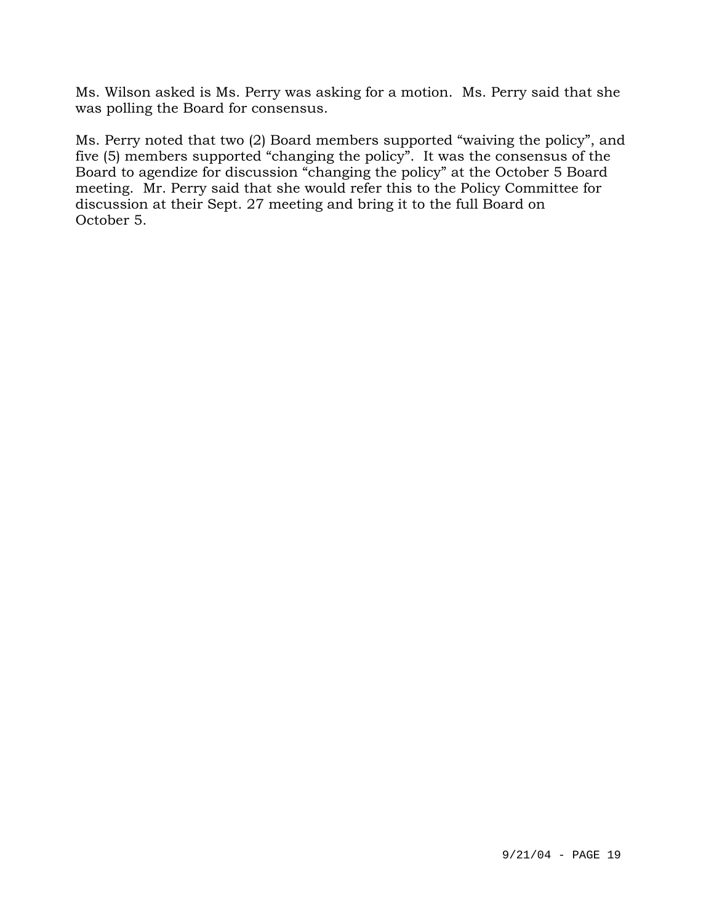Ms. Wilson asked is Ms. Perry was asking for a motion. Ms. Perry said that she was polling the Board for consensus.

Ms. Perry noted that two (2) Board members supported "waiving the policy", and five (5) members supported "changing the policy". It was the consensus of the Board to agendize for discussion "changing the policy" at the October 5 Board meeting. Mr. Perry said that she would refer this to the Policy Committee for discussion at their Sept. 27 meeting and bring it to the full Board on October 5.